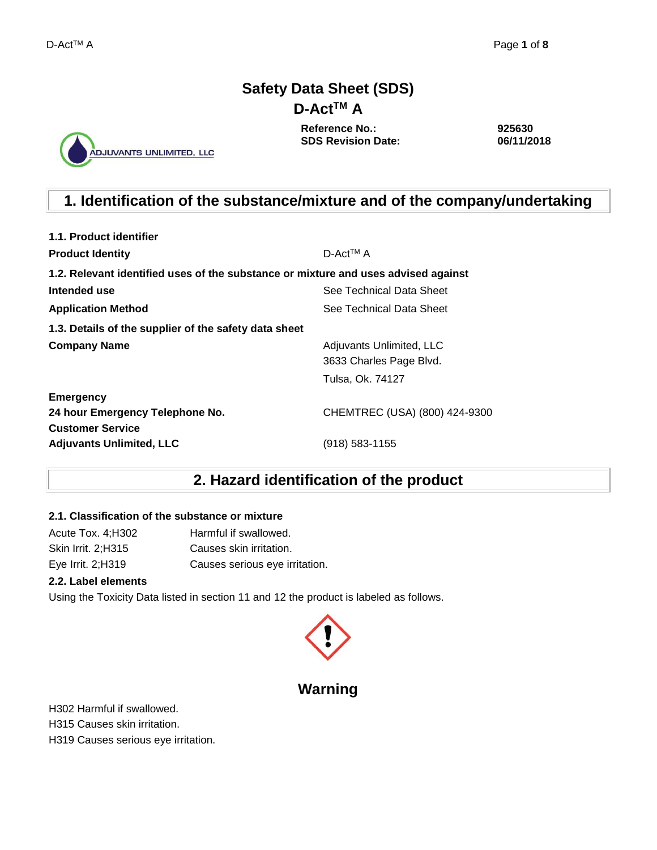## **Safety Data Sheet (SDS) D-ActTM A**

ADJUVANTS UNLIMITED, LLC

**Reference No.: SDS Revision Date:**

**925630 06/11/2018**

# **1. Identification of the substance/mixture and of the company/undertaking**

| 1.1. Product identifier                                                            |                               |
|------------------------------------------------------------------------------------|-------------------------------|
| <b>Product Identity</b>                                                            | $D$ -Act <sup>TM</sup> A      |
| 1.2. Relevant identified uses of the substance or mixture and uses advised against |                               |
| Intended use                                                                       | See Technical Data Sheet      |
| <b>Application Method</b>                                                          | See Technical Data Sheet      |
| 1.3. Details of the supplier of the safety data sheet                              |                               |
| <b>Company Name</b>                                                                | Adjuvants Unlimited, LLC      |
|                                                                                    | 3633 Charles Page Blvd.       |
|                                                                                    | Tulsa, Ok. 74127              |
| <b>Emergency</b>                                                                   |                               |
| 24 hour Emergency Telephone No.                                                    | CHEMTREC (USA) (800) 424-9300 |
| <b>Customer Service</b>                                                            |                               |
| <b>Adjuvants Unlimited, LLC</b>                                                    | (918) 583-1155                |

## **2. Hazard identification of the product**

### **2.1. Classification of the substance or mixture**

Acute Tox. 4;H302 Harmful if swallowed. Skin Irrit. 2;H315 Causes skin irritation. Eye Irrit. 2;H319 Causes serious eye irritation.

### **2.2. Label elements**

Using the Toxicity Data listed in section 11 and 12 the product is labeled as follows.



## **Warning**

H302 Harmful if swallowed.

H315 Causes skin irritation.

H319 Causes serious eye irritation.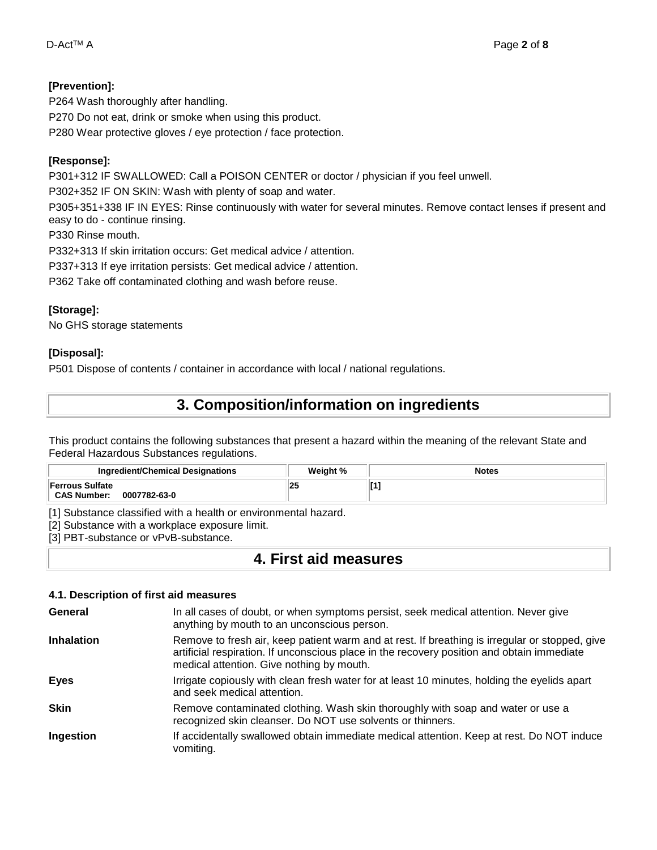## **[Prevention]:**

P264 Wash thoroughly after handling. P270 Do not eat, drink or smoke when using this product. P280 Wear protective gloves / eye protection / face protection.

## **[Response]:**

P301+312 IF SWALLOWED: Call a POISON CENTER or doctor / physician if you feel unwell.

P302+352 IF ON SKIN: Wash with plenty of soap and water.

P305+351+338 IF IN EYES: Rinse continuously with water for several minutes. Remove contact lenses if present and easy to do - continue rinsing.

P330 Rinse mouth.

P332+313 If skin irritation occurs: Get medical advice / attention.

P337+313 If eye irritation persists: Get medical advice / attention.

P362 Take off contaminated clothing and wash before reuse.

## **[Storage]:**

No GHS storage statements

## **[Disposal]:**

P501 Dispose of contents / container in accordance with local / national regulations.

## **3. Composition/information on ingredients**

This product contains the following substances that present a hazard within the meaning of the relevant State and Federal Hazardous Substances regulations.

| <b>Ingredient/Chemical Designations</b>                      | Weiaht % | <b>Notes</b> |
|--------------------------------------------------------------|----------|--------------|
| <b>Ferrous Sulfate</b><br><b>CAS Number:</b><br>0007782-63-0 | 25       |              |

[1] Substance classified with a health or environmental hazard.

[2] Substance with a workplace exposure limit.

[3] PBT-substance or vPvB-substance.

## **4. First aid measures**

### **4.1. Description of first aid measures**

| General           | In all cases of doubt, or when symptoms persist, seek medical attention. Never give<br>anything by mouth to an unconscious person.                                                                                                        |
|-------------------|-------------------------------------------------------------------------------------------------------------------------------------------------------------------------------------------------------------------------------------------|
| <b>Inhalation</b> | Remove to fresh air, keep patient warm and at rest. If breathing is irregular or stopped, give<br>artificial respiration. If unconscious place in the recovery position and obtain immediate<br>medical attention. Give nothing by mouth. |
| <b>Eyes</b>       | Irrigate copiously with clean fresh water for at least 10 minutes, holding the eyelids apart<br>and seek medical attention.                                                                                                               |
| <b>Skin</b>       | Remove contaminated clothing. Wash skin thoroughly with soap and water or use a<br>recognized skin cleanser. Do NOT use solvents or thinners.                                                                                             |
| Ingestion         | If accidentally swallowed obtain immediate medical attention. Keep at rest. Do NOT induce<br>vomiting.                                                                                                                                    |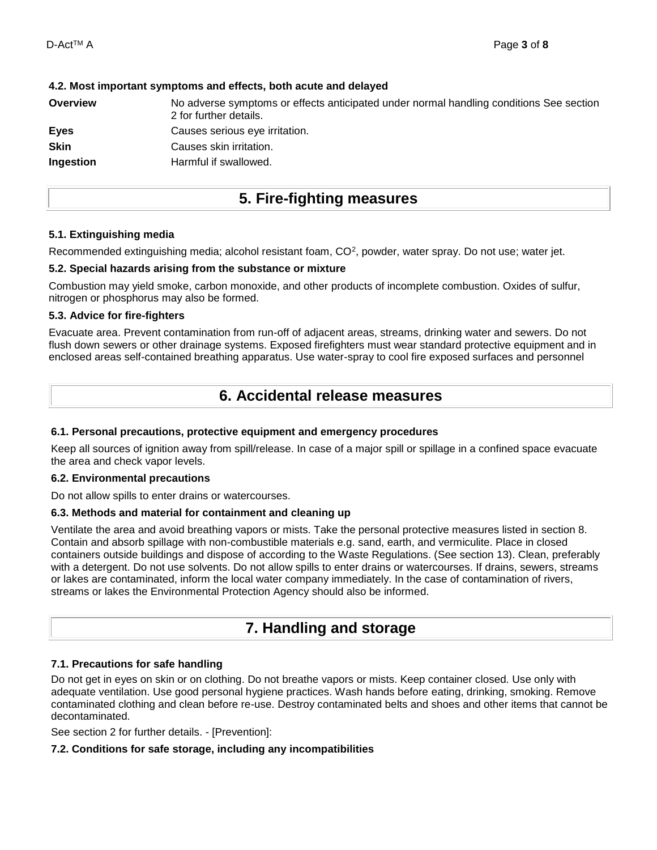| No adverse symptoms or effects anticipated under normal handling conditions See section<br>2 for further details. |
|-------------------------------------------------------------------------------------------------------------------|
| Causes serious eye irritation.                                                                                    |
| Causes skin irritation.                                                                                           |
| Harmful if swallowed.                                                                                             |
|                                                                                                                   |

### **4.2. Most important symptoms and effects, both acute and delayed**

## **5. Fire-fighting measures**

#### **5.1. Extinguishing media**

Recommended extinguishing media; alcohol resistant foam, CO<sup>2</sup>, powder, water spray. Do not use; water jet.

#### **5.2. Special hazards arising from the substance or mixture**

Combustion may yield smoke, carbon monoxide, and other products of incomplete combustion. Oxides of sulfur, nitrogen or phosphorus may also be formed.

#### **5.3. Advice for fire-fighters**

Evacuate area. Prevent contamination from run-off of adjacent areas, streams, drinking water and sewers. Do not flush down sewers or other drainage systems. Exposed firefighters must wear standard protective equipment and in enclosed areas self-contained breathing apparatus. Use water-spray to cool fire exposed surfaces and personnel

## **6. Accidental release measures**

### **6.1. Personal precautions, protective equipment and emergency procedures**

Keep all sources of ignition away from spill/release. In case of a major spill or spillage in a confined space evacuate the area and check vapor levels.

#### **6.2. Environmental precautions**

Do not allow spills to enter drains or watercourses.

### **6.3. Methods and material for containment and cleaning up**

Ventilate the area and avoid breathing vapors or mists. Take the personal protective measures listed in section 8. Contain and absorb spillage with non-combustible materials e.g. sand, earth, and vermiculite. Place in closed containers outside buildings and dispose of according to the Waste Regulations. (See section 13). Clean, preferably with a detergent. Do not use solvents. Do not allow spills to enter drains or watercourses. If drains, sewers, streams or lakes are contaminated, inform the local water company immediately. In the case of contamination of rivers, streams or lakes the Environmental Protection Agency should also be informed.

## **7. Handling and storage**

### **7.1. Precautions for safe handling**

Do not get in eyes on skin or on clothing. Do not breathe vapors or mists. Keep container closed. Use only with adequate ventilation. Use good personal hygiene practices. Wash hands before eating, drinking, smoking. Remove contaminated clothing and clean before re-use. Destroy contaminated belts and shoes and other items that cannot be decontaminated.

See section 2 for further details. - [Prevention]:

### **7.2. Conditions for safe storage, including any incompatibilities**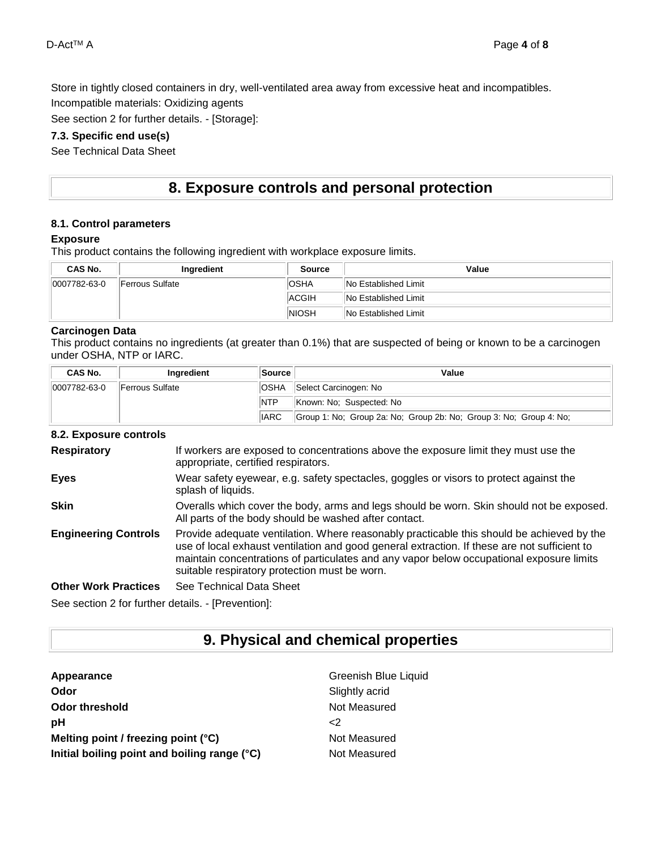Store in tightly closed containers in dry, well-ventilated area away from excessive heat and incompatibles.

Incompatible materials: Oxidizing agents

See section 2 for further details. - [Storage]:

### **7.3. Specific end use(s)**

See Technical Data Sheet

## **8. Exposure controls and personal protection**

#### **8.1. Control parameters**

#### **Exposure**

This product contains the following ingredient with workplace exposure limits.

| CAS No.      | Ingredient      | Source                      | Value                       |
|--------------|-----------------|-----------------------------|-----------------------------|
| 0007782-63-0 | Ferrous Sulfate | <b>OSHA</b>                 | <b>No Established Limit</b> |
|              | <b>ACGIH</b>    | <b>No Established Limit</b> |                             |
|              | <b>NIOSH</b>    | <b>No Established Limit</b> |                             |

### **Carcinogen Data**

This product contains no ingredients (at greater than 0.1%) that are suspected of being or known to be a carcinogen under OSHA, NTP or IARC.

| <b>CAS No.</b> | Ingredient              | <b>Source</b> | Value                                                              |
|----------------|-------------------------|---------------|--------------------------------------------------------------------|
| 0007782-63-0   | <b>IFerrous Sulfate</b> | <b>OSHA</b>   | Select Carcinogen: No                                              |
|                |                         | <b>NTP</b>    | Known: No: Suspected: No                                           |
| <b>IARC</b>    |                         |               | Group 1: No; Group 2a: No; Group 2b: No; Group 3: No; Group 4: No; |

#### **8.2. Exposure controls**

| <b>Respiratory</b>                                                                                                                                                                                                            | If workers are exposed to concentrations above the exposure limit they must use the<br>appropriate, certified respirators.                                                                                                                                                                                                             |
|-------------------------------------------------------------------------------------------------------------------------------------------------------------------------------------------------------------------------------|----------------------------------------------------------------------------------------------------------------------------------------------------------------------------------------------------------------------------------------------------------------------------------------------------------------------------------------|
| <b>Eyes</b>                                                                                                                                                                                                                   | Wear safety eyewear, e.g. safety spectacles, goggles or visors to protect against the<br>splash of liquids.                                                                                                                                                                                                                            |
| <b>Skin</b>                                                                                                                                                                                                                   | Overalls which cover the body, arms and legs should be worn. Skin should not be exposed.<br>All parts of the body should be washed after contact.                                                                                                                                                                                      |
| <b>Engineering Controls</b>                                                                                                                                                                                                   | Provide adequate ventilation. Where reasonably practicable this should be achieved by the<br>use of local exhaust ventilation and good general extraction. If these are not sufficient to<br>maintain concentrations of particulates and any vapor below occupational exposure limits<br>suitable respiratory protection must be worn. |
| <b>Other Work Practices</b>                                                                                                                                                                                                   | See Technical Data Sheet                                                                                                                                                                                                                                                                                                               |
| Association Advertised as a factor of the control of the control of the control of the control of the control of the control of the control of the control of the control of the control of the control of the control of the |                                                                                                                                                                                                                                                                                                                                        |

See section 2 for further details. - [Prevention]:

## **9. Physical and chemical properties**

| Appearance                                   | Greenish Blue Liquid |
|----------------------------------------------|----------------------|
| Odor                                         | Slightly acrid       |
| Odor threshold                               | Not Measured         |
| рH                                           | <2                   |
| Melting point / freezing point $(°C)$        | Not Measured         |
| Initial boiling point and boiling range (°C) | Not Measured         |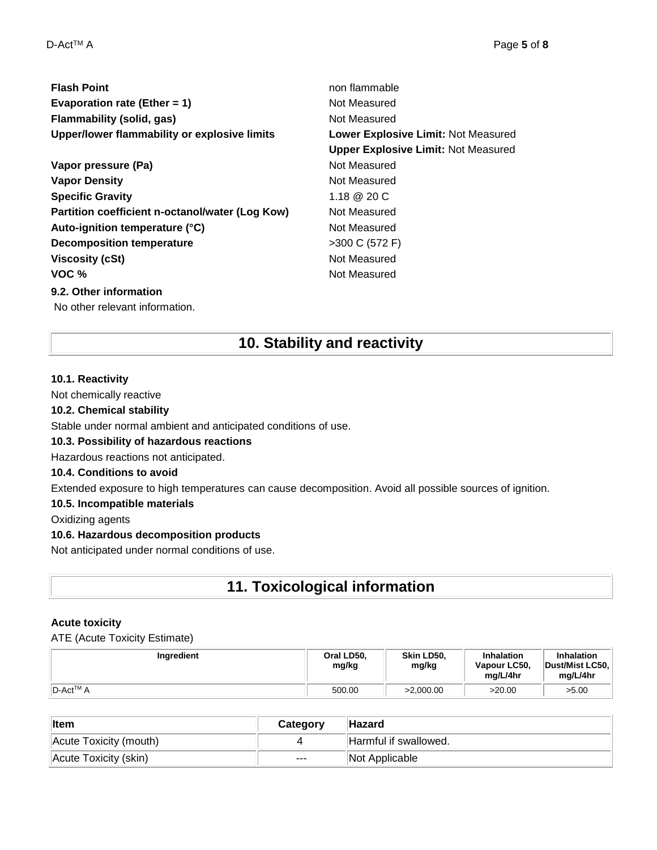| <b>Flash Point</b>                              | non flammable                              |
|-------------------------------------------------|--------------------------------------------|
| Evaporation rate (Ether = $1$ )                 | Not Measured                               |
| Flammability (solid, gas)                       | Not Measured                               |
| Upper/lower flammability or explosive limits    | Lower Explosive Limit: Not Measured        |
|                                                 | <b>Upper Explosive Limit: Not Measured</b> |
| Vapor pressure (Pa)                             | Not Measured                               |
| <b>Vapor Density</b>                            | Not Measured                               |
| <b>Specific Gravity</b>                         | 1.18 @ 20 C                                |
| Partition coefficient n-octanol/water (Log Kow) | Not Measured                               |
| Auto-ignition temperature (°C)                  | Not Measured                               |
| <b>Decomposition temperature</b>                | >300 C (572 F)                             |
| <b>Viscosity (cSt)</b>                          | Not Measured                               |
| VOC $%$                                         | Not Measured                               |
| 9.2. Other information                          |                                            |

No other relevant information.

## **10. Stability and reactivity**

#### **10.1. Reactivity**

Not chemically reactive

#### **10.2. Chemical stability**

Stable under normal ambient and anticipated conditions of use.

### **10.3. Possibility of hazardous reactions**

Hazardous reactions not anticipated.

### **10.4. Conditions to avoid**

Extended exposure to high temperatures can cause decomposition. Avoid all possible sources of ignition.

#### **10.5. Incompatible materials**

Oxidizing agents

### **10.6. Hazardous decomposition products**

Not anticipated under normal conditions of use.

## **11. Toxicological information**

### **Acute toxicity**

ATE (Acute Toxicity Estimate)

| Ingredient                        | Oral LD50.<br>mg/kg | Skin LD50.<br>mg/kg | Inhalation<br>Vapour LC50,<br>ma/L/4hr | Inhalation<br>Dust/Mist LC50,<br>mg/L/4hr |
|-----------------------------------|---------------------|---------------------|----------------------------------------|-------------------------------------------|
| <sup>I</sup> D-Act <sup>™</sup> A | 500.00              | >2.000.00           | >20.00                                 | >5.00                                     |

| <b>Item</b>            | Category | <b>Hazard</b>         |
|------------------------|----------|-----------------------|
| Acute Toxicity (mouth) |          | Harmful if swallowed. |
| Acute Toxicity (skin)  | $---$    | Not Applicable        |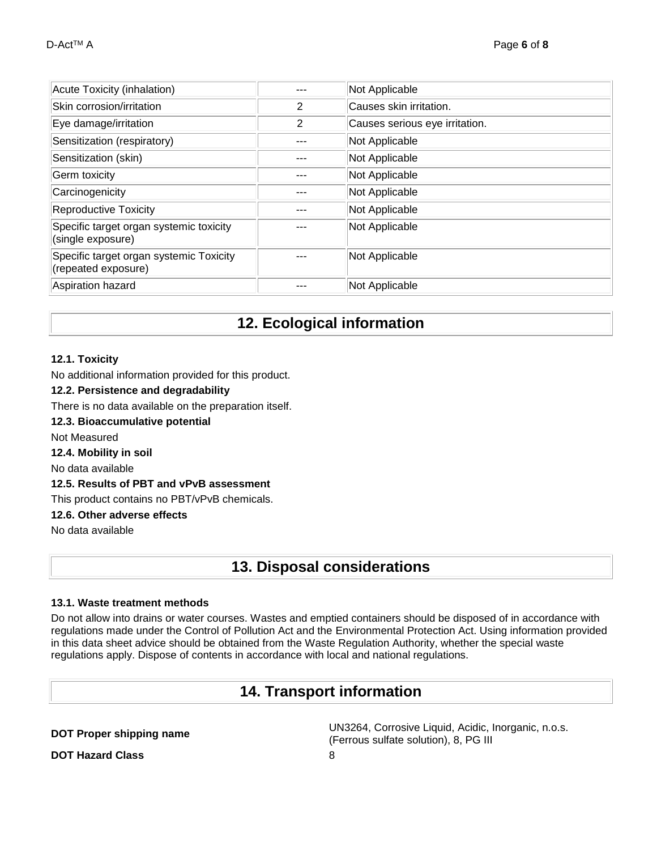| Acute Toxicity (inhalation)                                    |   | Not Applicable                 |
|----------------------------------------------------------------|---|--------------------------------|
| Skin corrosion/irritation                                      | 2 | Causes skin irritation.        |
| Eye damage/irritation                                          | 2 | Causes serious eye irritation. |
| Sensitization (respiratory)                                    |   | Not Applicable                 |
| Sensitization (skin)                                           |   | Not Applicable                 |
| Germ toxicity                                                  |   | Not Applicable                 |
| Carcinogenicity                                                |   | Not Applicable                 |
| <b>Reproductive Toxicity</b>                                   |   | Not Applicable                 |
| Specific target organ systemic toxicity<br>(single exposure)   |   | Not Applicable                 |
| Specific target organ systemic Toxicity<br>(repeated exposure) |   | Not Applicable                 |
| Aspiration hazard                                              |   | Not Applicable                 |

## **12. Ecological information**

### **12.1. Toxicity**

No additional information provided for this product.

#### **12.2. Persistence and degradability**

- There is no data available on the preparation itself.
- **12.3. Bioaccumulative potential**

Not Measured

#### **12.4. Mobility in soil**

No data available

### **12.5. Results of PBT and vPvB assessment**

This product contains no PBT/vPvB chemicals.

### **12.6. Other adverse effects**

No data available

## **13. Disposal considerations**

### **13.1. Waste treatment methods**

Do not allow into drains or water courses. Wastes and emptied containers should be disposed of in accordance with regulations made under the Control of Pollution Act and the Environmental Protection Act. Using information provided in this data sheet advice should be obtained from the Waste Regulation Authority, whether the special waste regulations apply. Dispose of contents in accordance with local and national regulations.

## **14. Transport information**

**DOT Proper shipping name** UN3264, Corrosive Liquid, Acidic, Inorganic, n.o.s. (Ferrous sulfate solution), 8, PG III

**DOT Hazard Class** 8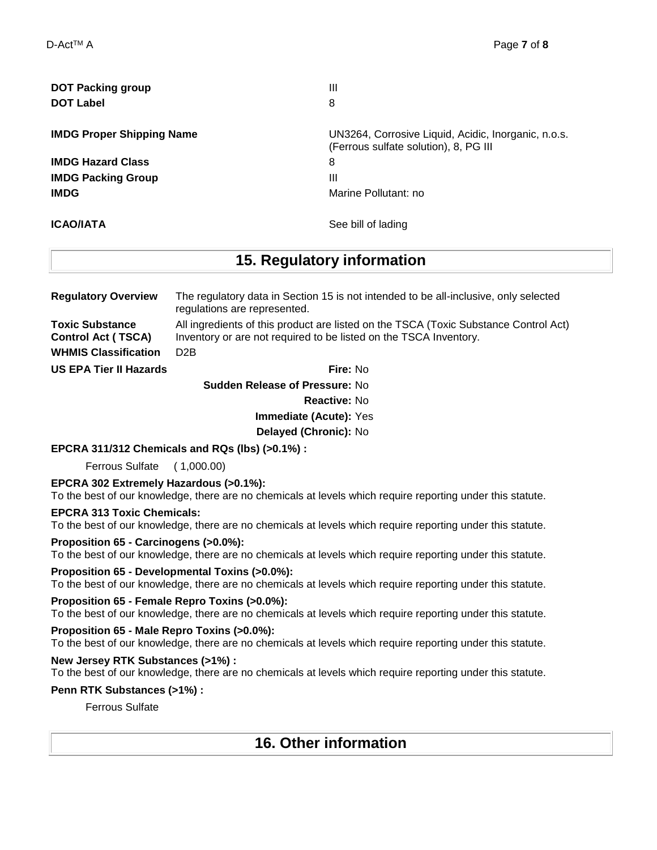| <b>DOT Packing group</b>         | Ш                                                   |
|----------------------------------|-----------------------------------------------------|
| <b>DOT Label</b>                 | 8                                                   |
| <b>IMDG Proper Shipping Name</b> | UN3264, Corrosive Liquid, Acidic, Inorganic, n.o.s. |
|                                  | (Ferrous sulfate solution), 8, PG III               |
| <b>IMDG Hazard Class</b>         | 8                                                   |
| <b>IMDG Packing Group</b>        | Ш                                                   |
| <b>IMDG</b>                      | Marine Pollutant: no                                |
| <b>ICAO/IATA</b>                 | See bill of lading                                  |

## **15. Regulatory information**

| <b>Regulatory Overview</b>                          | The regulatory data in Section 15 is not intended to be all-inclusive, only selected<br>regulations are represented.                                      |
|-----------------------------------------------------|-----------------------------------------------------------------------------------------------------------------------------------------------------------|
| <b>Toxic Substance</b><br><b>Control Act (TSCA)</b> | All ingredients of this product are listed on the TSCA (Toxic Substance Control Act)<br>Inventory or are not required to be listed on the TSCA Inventory. |
| <b>WHMIS Classification</b>                         | D <sub>2</sub> B                                                                                                                                          |

**US EPA Tier II Hazards Fire:** No

**Sudden Release of Pressure:** No **Reactive:** No **Immediate (Acute):** Yes **Delayed (Chronic):** No

**EPCRA 311/312 Chemicals and RQs (lbs) (>0.1%) :**

Ferrous Sulfate ( 1,000.00)

#### **EPCRA 302 Extremely Hazardous (>0.1%):**

To the best of our knowledge, there are no chemicals at levels which require reporting under this statute.

#### **EPCRA 313 Toxic Chemicals:**

To the best of our knowledge, there are no chemicals at levels which require reporting under this statute.

#### **Proposition 65 - Carcinogens (>0.0%):**

To the best of our knowledge, there are no chemicals at levels which require reporting under this statute.

#### **Proposition 65 - Developmental Toxins (>0.0%):**

To the best of our knowledge, there are no chemicals at levels which require reporting under this statute.

#### **Proposition 65 - Female Repro Toxins (>0.0%):**

To the best of our knowledge, there are no chemicals at levels which require reporting under this statute.

#### **Proposition 65 - Male Repro Toxins (>0.0%):**

To the best of our knowledge, there are no chemicals at levels which require reporting under this statute.

#### **New Jersey RTK Substances (>1%) :**

To the best of our knowledge, there are no chemicals at levels which require reporting under this statute.

#### **Penn RTK Substances (>1%) :**

Ferrous Sulfate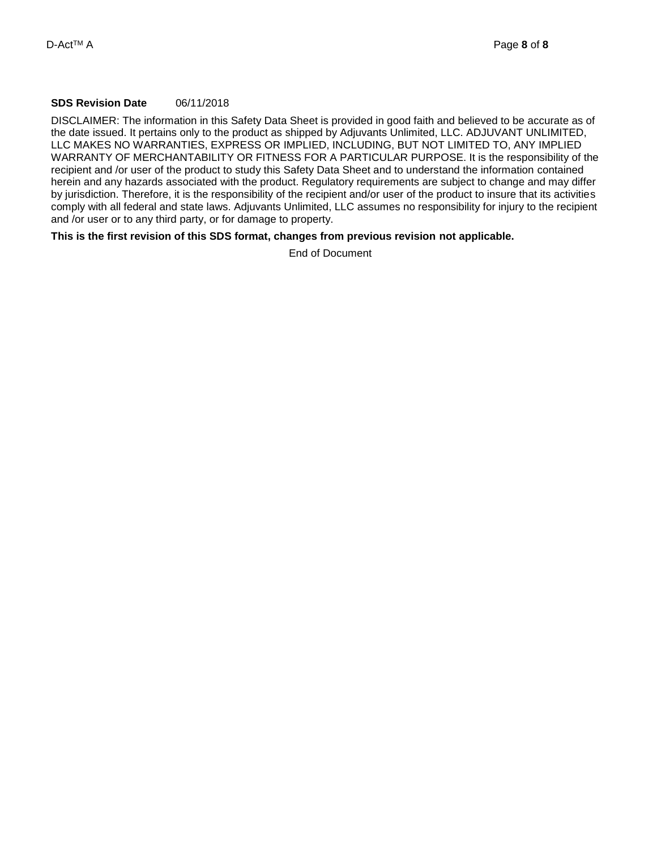### **SDS Revision Date** 06/11/2018

DISCLAIMER: The information in this Safety Data Sheet is provided in good faith and believed to be accurate as of the date issued. It pertains only to the product as shipped by Adjuvants Unlimited, LLC. ADJUVANT UNLIMITED, LLC MAKES NO WARRANTIES, EXPRESS OR IMPLIED, INCLUDING, BUT NOT LIMITED TO, ANY IMPLIED WARRANTY OF MERCHANTABILITY OR FITNESS FOR A PARTICULAR PURPOSE. It is the responsibility of the recipient and /or user of the product to study this Safety Data Sheet and to understand the information contained herein and any hazards associated with the product. Regulatory requirements are subject to change and may differ by jurisdiction. Therefore, it is the responsibility of the recipient and/or user of the product to insure that its activities comply with all federal and state laws. Adjuvants Unlimited, LLC assumes no responsibility for injury to the recipient and /or user or to any third party, or for damage to property.

#### **This is the first revision of this SDS format, changes from previous revision not applicable.**

End of Document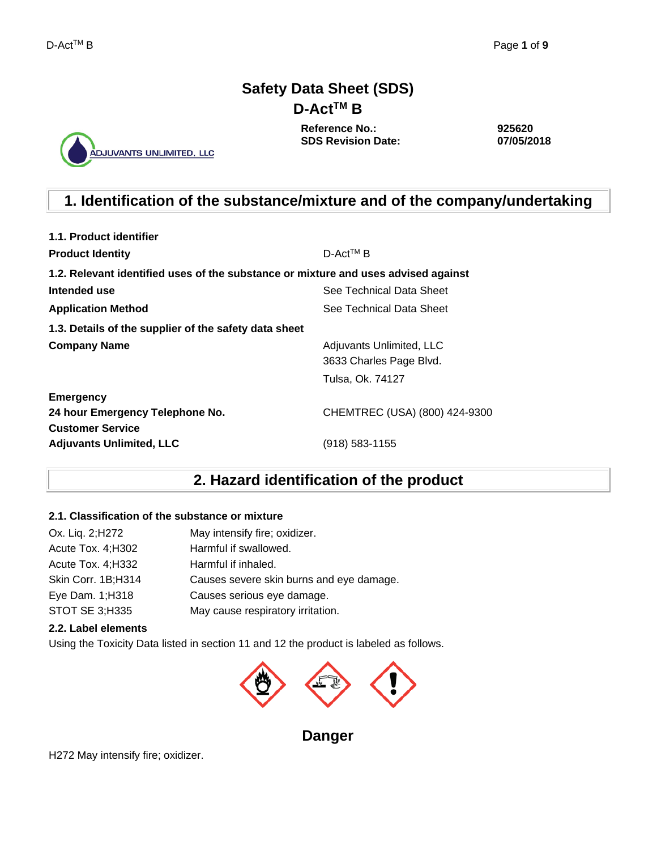## **Safety Data Sheet (SDS) D-ActTM B**

ADJUVANTS UNLIMITED, LLC

**Reference No.: SDS Revision Date:** **925620 07/05/2018**

## **1. Identification of the substance/mixture and of the company/undertaking**

| 1.1. Product identifier                                                            |                               |  |  |  |  |  |
|------------------------------------------------------------------------------------|-------------------------------|--|--|--|--|--|
| <b>Product Identity</b>                                                            | $D$ -Act <sup>TM</sup> B      |  |  |  |  |  |
| 1.2. Relevant identified uses of the substance or mixture and uses advised against |                               |  |  |  |  |  |
| Intended use                                                                       | See Technical Data Sheet      |  |  |  |  |  |
| <b>Application Method</b>                                                          | See Technical Data Sheet      |  |  |  |  |  |
| 1.3. Details of the supplier of the safety data sheet                              |                               |  |  |  |  |  |
| <b>Company Name</b>                                                                | Adjuvants Unlimited, LLC      |  |  |  |  |  |
|                                                                                    | 3633 Charles Page Blvd.       |  |  |  |  |  |
|                                                                                    | Tulsa, Ok. 74127              |  |  |  |  |  |
| <b>Emergency</b>                                                                   |                               |  |  |  |  |  |
| 24 hour Emergency Telephone No.                                                    | CHEMTREC (USA) (800) 424-9300 |  |  |  |  |  |
| <b>Customer Service</b>                                                            |                               |  |  |  |  |  |
| <b>Adjuvants Unlimited, LLC</b>                                                    | (918) 583-1155                |  |  |  |  |  |

## **2. Hazard identification of the product**

### **2.1. Classification of the substance or mixture**

| Ox. Liq. 2; H272   | May intensify fire; oxidizer.            |
|--------------------|------------------------------------------|
| Acute Tox. 4; H302 | Harmful if swallowed.                    |
| Acute Tox. 4; H332 | Harmful if inhaled.                      |
| Skin Corr. 1B;H314 | Causes severe skin burns and eye damage. |
| Eye Dam. 1; H318   | Causes serious eye damage.               |
| STOT SE 3;H335     | May cause respiratory irritation.        |

### **2.2. Label elements**

Using the Toxicity Data listed in section 11 and 12 the product is labeled as follows.



**Danger** 

H272 May intensify fire; oxidizer.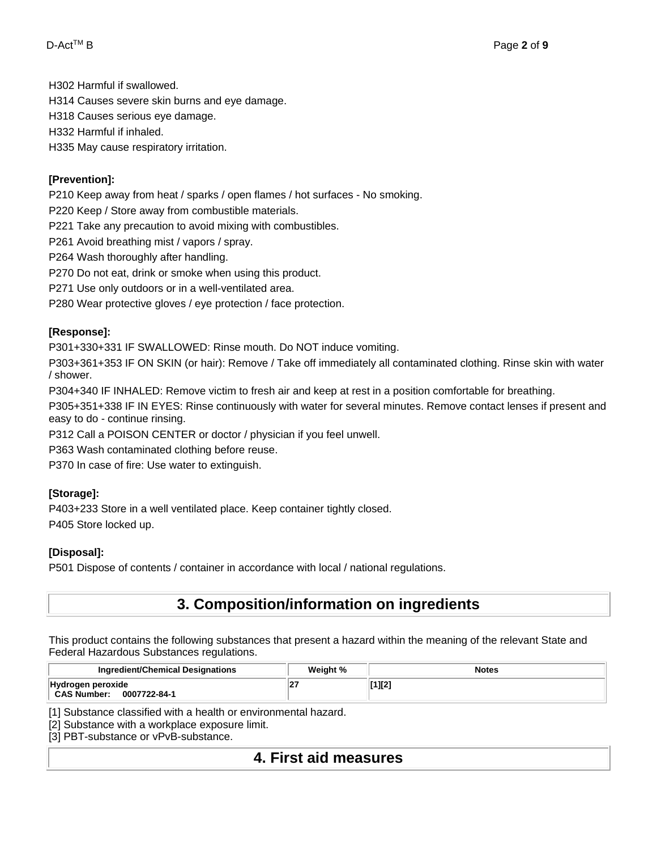H302 Harmful if swallowed.

H314 Causes severe skin burns and eye damage.

H318 Causes serious eye damage.

H332 Harmful if inhaled.

H335 May cause respiratory irritation.

### **[Prevention]:**

P210 Keep away from heat / sparks / open flames / hot surfaces - No smoking.

P220 Keep / Store away from combustible materials.

P221 Take any precaution to avoid mixing with combustibles.

P261 Avoid breathing mist / vapors / spray.

P264 Wash thoroughly after handling.

P270 Do not eat, drink or smoke when using this product.

P271 Use only outdoors or in a well-ventilated area.

P280 Wear protective gloves / eye protection / face protection.

### **[Response]:**

P301+330+331 IF SWALLOWED: Rinse mouth. Do NOT induce vomiting.

P303+361+353 IF ON SKIN (or hair): Remove / Take off immediately all contaminated clothing. Rinse skin with water / shower.

P304+340 IF INHALED: Remove victim to fresh air and keep at rest in a position comfortable for breathing.

P305+351+338 IF IN EYES: Rinse continuously with water for several minutes. Remove contact lenses if present and easy to do - continue rinsing.

P312 Call a POISON CENTER or doctor / physician if you feel unwell.

P363 Wash contaminated clothing before reuse.

P370 In case of fire: Use water to extinguish.

## **[Storage]:**

P403+233 Store in a well ventilated place. Keep container tightly closed. P405 Store locked up.

## **[Disposal]:**

P501 Dispose of contents / container in accordance with local / national regulations.

## **3. Composition/information on ingredients**

This product contains the following substances that present a hazard within the meaning of the relevant State and Federal Hazardous Substances regulations.

| <b>Ingredient/Chemical Designations</b>                 | Weight % | <b>Notes</b> |
|---------------------------------------------------------|----------|--------------|
| Hydrogen peroxide<br><b>CAS Number:</b><br>0007722-84-1 |          | [1][2]       |

[1] Substance classified with a health or environmental hazard.

[2] Substance with a workplace exposure limit.

[3] PBT-substance or vPvB-substance.

## **4. First aid measures**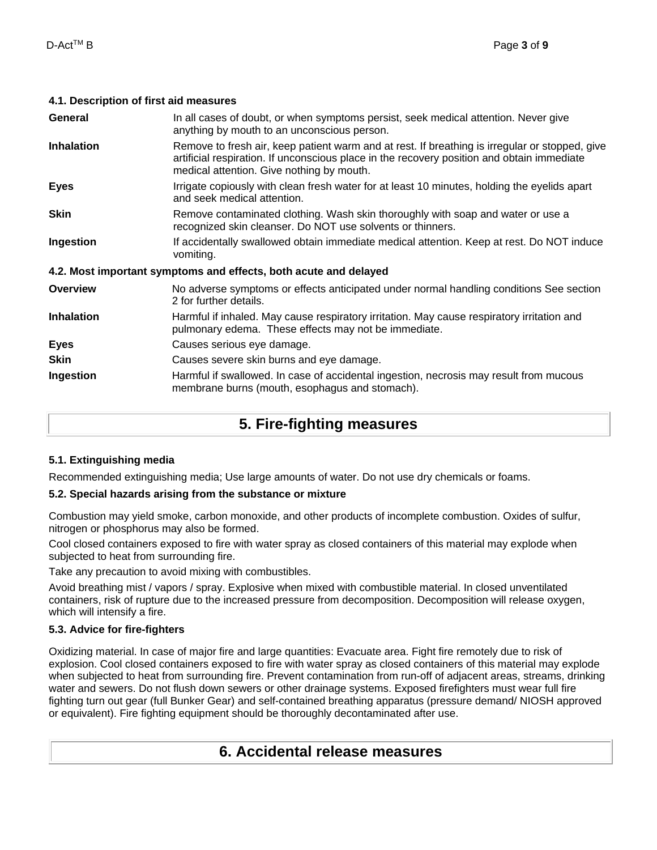### **4.1. Description of first aid measures**

| General           | In all cases of doubt, or when symptoms persist, seek medical attention. Never give<br>anything by mouth to an unconscious person.                                                                                                        |
|-------------------|-------------------------------------------------------------------------------------------------------------------------------------------------------------------------------------------------------------------------------------------|
| <b>Inhalation</b> | Remove to fresh air, keep patient warm and at rest. If breathing is irregular or stopped, give<br>artificial respiration. If unconscious place in the recovery position and obtain immediate<br>medical attention. Give nothing by mouth. |
| <b>Eyes</b>       | Irrigate copiously with clean fresh water for at least 10 minutes, holding the eyelids apart<br>and seek medical attention.                                                                                                               |
| <b>Skin</b>       | Remove contaminated clothing. Wash skin thoroughly with soap and water or use a<br>recognized skin cleanser. Do NOT use solvents or thinners.                                                                                             |
| Ingestion         | If accidentally swallowed obtain immediate medical attention. Keep at rest. Do NOT induce<br>vomiting.                                                                                                                                    |
|                   | 4.2. Most important symptoms and effects, both acute and delayed                                                                                                                                                                          |
| <b>Overview</b>   | No adverse symptoms or effects anticipated under normal handling conditions See section<br>2 for further details.                                                                                                                         |
| <b>Inhalation</b> | Harmful if inhaled. May cause respiratory irritation. May cause respiratory irritation and<br>pulmonary edema. These effects may not be immediate.                                                                                        |
| <b>Eyes</b>       | Causes serious eye damage.                                                                                                                                                                                                                |
| <b>Skin</b>       | Causes severe skin burns and eye damage.                                                                                                                                                                                                  |
| Ingestion         | Harmful if swallowed. In case of accidental ingestion, necrosis may result from mucous<br>membrane burns (mouth, esophagus and stomach).                                                                                                  |

## **5. Fire-fighting measures**

## **5.1. Extinguishing media**

Recommended extinguishing media; Use large amounts of water. Do not use dry chemicals or foams.

### **5.2. Special hazards arising from the substance or mixture**

Combustion may yield smoke, carbon monoxide, and other products of incomplete combustion. Oxides of sulfur, nitrogen or phosphorus may also be formed.

Cool closed containers exposed to fire with water spray as closed containers of this material may explode when subjected to heat from surrounding fire.

Take any precaution to avoid mixing with combustibles.

Avoid breathing mist / vapors / spray. Explosive when mixed with combustible material. In closed unventilated containers, risk of rupture due to the increased pressure from decomposition. Decomposition will release oxygen, which will intensify a fire.

## **5.3. Advice for fire-fighters**

Oxidizing material. In case of major fire and large quantities: Evacuate area. Fight fire remotely due to risk of explosion. Cool closed containers exposed to fire with water spray as closed containers of this material may explode when subjected to heat from surrounding fire. Prevent contamination from run-off of adjacent areas, streams, drinking water and sewers. Do not flush down sewers or other drainage systems. Exposed firefighters must wear full fire fighting turn out gear (full Bunker Gear) and self-contained breathing apparatus (pressure demand/ NIOSH approved or equivalent). Fire fighting equipment should be thoroughly decontaminated after use.

## **6. Accidental release measures**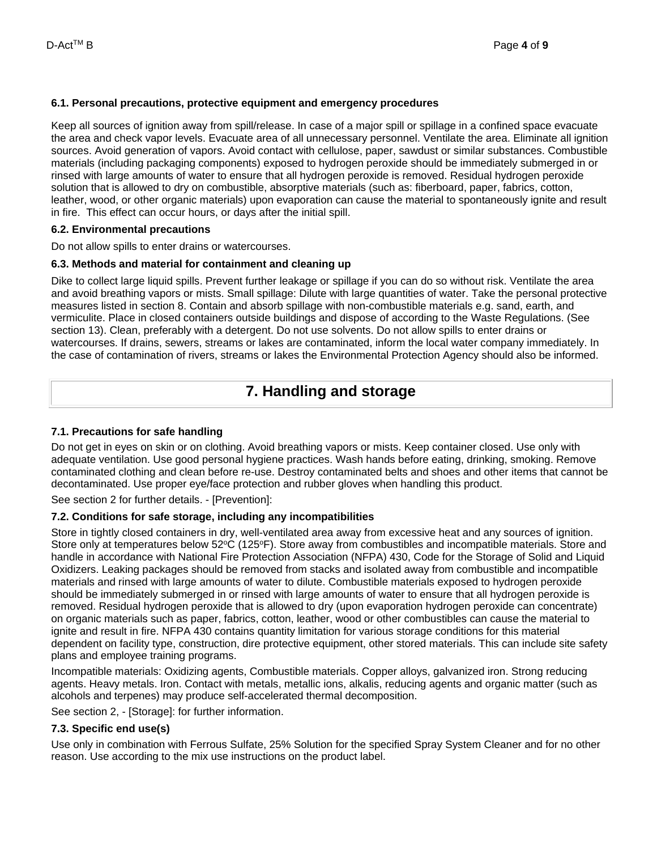#### **6.1. Personal precautions, protective equipment and emergency procedures**

Keep all sources of ignition away from spill/release. In case of a major spill or spillage in a confined space evacuate the area and check vapor levels. Evacuate area of all unnecessary personnel. Ventilate the area. Eliminate all ignition sources. Avoid generation of vapors. Avoid contact with cellulose, paper, sawdust or similar substances. Combustible materials (including packaging components) exposed to hydrogen peroxide should be immediately submerged in or rinsed with large amounts of water to ensure that all hydrogen peroxide is removed. Residual hydrogen peroxide solution that is allowed to dry on combustible, absorptive materials (such as: fiberboard, paper, fabrics, cotton, leather, wood, or other organic materials) upon evaporation can cause the material to spontaneously ignite and result in fire. This effect can occur hours, or days after the initial spill.

#### **6.2. Environmental precautions**

Do not allow spills to enter drains or watercourses.

### **6.3. Methods and material for containment and cleaning up**

Dike to collect large liquid spills. Prevent further leakage or spillage if you can do so without risk. Ventilate the area and avoid breathing vapors or mists. Small spillage: Dilute with large quantities of water. Take the personal protective measures listed in section 8. Contain and absorb spillage with non-combustible materials e.g. sand, earth, and vermiculite. Place in closed containers outside buildings and dispose of according to the Waste Regulations. (See section 13). Clean, preferably with a detergent. Do not use solvents. Do not allow spills to enter drains or watercourses. If drains, sewers, streams or lakes are contaminated, inform the local water company immediately. In the case of contamination of rivers, streams or lakes the Environmental Protection Agency should also be informed.

## **7. Handling and storage**

### **7.1. Precautions for safe handling**

Do not get in eyes on skin or on clothing. Avoid breathing vapors or mists. Keep container closed. Use only with adequate ventilation. Use good personal hygiene practices. Wash hands before eating, drinking, smoking. Remove contaminated clothing and clean before re-use. Destroy contaminated belts and shoes and other items that cannot be decontaminated. Use proper eye/face protection and rubber gloves when handling this product.

See section 2 for further details. - [Prevention]:

## **7.2. Conditions for safe storage, including any incompatibilities**

Store in tightly closed containers in dry, well-ventilated area away from excessive heat and any sources of ignition. Store only at temperatures below 52°C (125°F). Store away from combustibles and incompatible materials. Store and handle in accordance with National Fire Protection Association (NFPA) 430, Code for the Storage of Solid and Liquid Oxidizers. Leaking packages should be removed from stacks and isolated away from combustible and incompatible materials and rinsed with large amounts of water to dilute. Combustible materials exposed to hydrogen peroxide should be immediately submerged in or rinsed with large amounts of water to ensure that all hydrogen peroxide is removed. Residual hydrogen peroxide that is allowed to dry (upon evaporation hydrogen peroxide can concentrate) on organic materials such as paper, fabrics, cotton, leather, wood or other combustibles can cause the material to ignite and result in fire. NFPA 430 contains quantity limitation for various storage conditions for this material dependent on facility type, construction, dire protective equipment, other stored materials. This can include site safety plans and employee training programs.

Incompatible materials: Oxidizing agents, Combustible materials. Copper alloys, galvanized iron. Strong reducing agents. Heavy metals. Iron. Contact with metals, metallic ions, alkalis, reducing agents and organic matter (such as alcohols and terpenes) may produce self-accelerated thermal decomposition.

See section 2, - [Storage]: for further information.

## **7.3. Specific end use(s)**

Use only in combination with Ferrous Sulfate, 25% Solution for the specified Spray System Cleaner and for no other reason. Use according to the mix use instructions on the product label.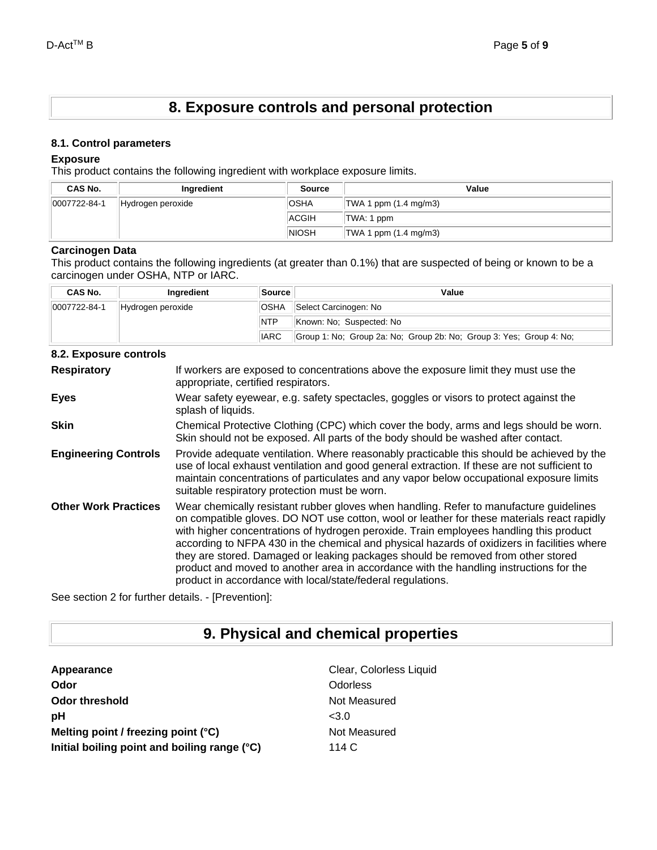## **8. Exposure controls and personal protection**

#### **8.1. Control parameters**

#### **Exposure**

This product contains the following ingredient with workplace exposure limits.

| <b>CAS No.</b> | Ingredient        | <b>Source</b> | Value                      |
|----------------|-------------------|---------------|----------------------------|
| 0007722-84-1   | Hydrogen peroxide | <b>OSHA</b>   | $ TWA 1$ ppm $(1.4$ mg/m3) |
|                |                   | <b>ACGIH</b>  | TWA: 1 ppm                 |
|                |                   | <b>NIOSH</b>  | $ TWA 1$ ppm $(1.4$ mg/m3) |

#### **Carcinogen Data**

This product contains the following ingredients (at greater than 0.1%) that are suspected of being or known to be a carcinogen under OSHA, NTP or IARC.

| <b>CAS No.</b> | Ingredient        | <b>Source</b> | Value                                                               |  |
|----------------|-------------------|---------------|---------------------------------------------------------------------|--|
| 0007722-84-1   | Hydrogen peroxide | <b>OSHA</b>   | Select Carcinogen: No                                               |  |
|                |                   | <b>NTP</b>    | Known: No: Suspected: No                                            |  |
|                |                   | <b>IARC</b>   | Group 1: No; Group 2a: No; Group 2b: No; Group 3: Yes; Group 4: No; |  |

### **8.2. Exposure controls**

| <u>ulai akpoodi o uutiiti ula</u> |                                                                                                                                                                                                                                                                                                                                                                                                                                                                                                                                                                                                                            |
|-----------------------------------|----------------------------------------------------------------------------------------------------------------------------------------------------------------------------------------------------------------------------------------------------------------------------------------------------------------------------------------------------------------------------------------------------------------------------------------------------------------------------------------------------------------------------------------------------------------------------------------------------------------------------|
| <b>Respiratory</b>                | If workers are exposed to concentrations above the exposure limit they must use the<br>appropriate, certified respirators.                                                                                                                                                                                                                                                                                                                                                                                                                                                                                                 |
| <b>Eyes</b>                       | Wear safety eyewear, e.g. safety spectacles, goggles or visors to protect against the<br>splash of liquids.                                                                                                                                                                                                                                                                                                                                                                                                                                                                                                                |
| <b>Skin</b>                       | Chemical Protective Clothing (CPC) which cover the body, arms and legs should be worn.<br>Skin should not be exposed. All parts of the body should be washed after contact.                                                                                                                                                                                                                                                                                                                                                                                                                                                |
| <b>Engineering Controls</b>       | Provide adequate ventilation. Where reasonably practicable this should be achieved by the<br>use of local exhaust ventilation and good general extraction. If these are not sufficient to<br>maintain concentrations of particulates and any vapor below occupational exposure limits<br>suitable respiratory protection must be worn.                                                                                                                                                                                                                                                                                     |
| <b>Other Work Practices</b>       | Wear chemically resistant rubber gloves when handling. Refer to manufacture guidelines<br>on compatible gloves. DO NOT use cotton, wool or leather for these materials react rapidly<br>with higher concentrations of hydrogen peroxide. Train employees handling this product<br>according to NFPA 430 in the chemical and physical hazards of oxidizers in facilities where<br>they are stored. Damaged or leaking packages should be removed from other stored<br>product and moved to another area in accordance with the handling instructions for the<br>product in accordance with local/state/federal regulations. |

See section 2 for further details. - [Prevention]:

## **9. Physical and chemical properties**

| Clear, Colorless Liquid |
|-------------------------|
| Odorless                |
| Not Measured            |
| < 3.0                   |
| Not Measured            |
| 114 $\circ$             |
|                         |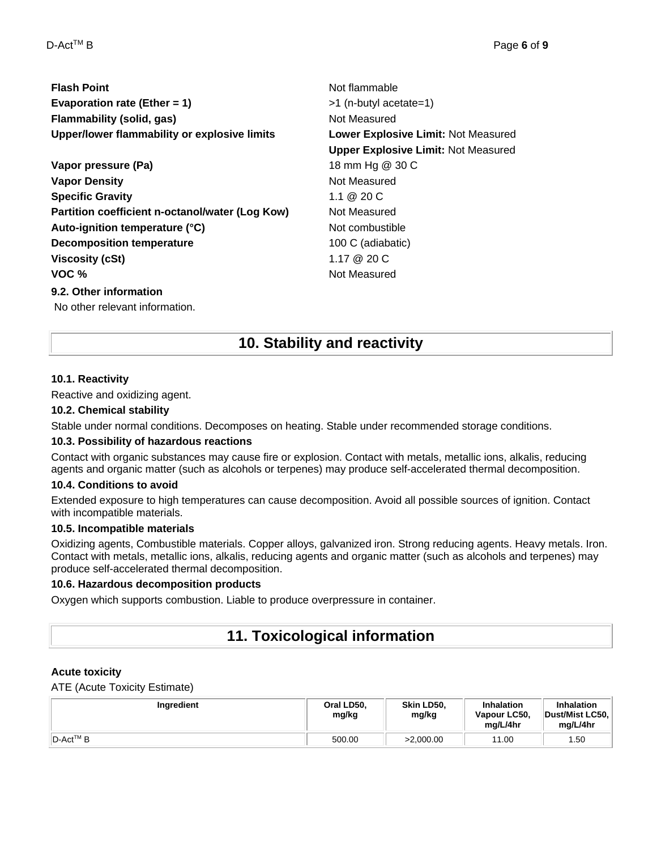| <b>Flash Point</b>                              | Not flammable                              |  |  |
|-------------------------------------------------|--------------------------------------------|--|--|
| Evaporation rate (Ether = 1)                    | >1 (n-butyl acetate=1)                     |  |  |
| <b>Flammability (solid, gas)</b>                | Not Measured                               |  |  |
| Upper/lower flammability or explosive limits    | Lower Explosive Limit: Not Measured        |  |  |
|                                                 | <b>Upper Explosive Limit: Not Measured</b> |  |  |
| Vapor pressure (Pa)                             | 18 mm Hg @ 30 C                            |  |  |
| <b>Vapor Density</b>                            | Not Measured                               |  |  |
| <b>Specific Gravity</b>                         | 1.1 @ 20 C                                 |  |  |
| Partition coefficient n-octanol/water (Log Kow) | Not Measured                               |  |  |
| Auto-ignition temperature (°C)                  | Not combustible                            |  |  |
| <b>Decomposition temperature</b>                | 100 C (adiabatic)                          |  |  |
| <b>Viscosity (cSt)</b>                          | 1.17 @ 20 C                                |  |  |
| VOC %                                           | Not Measured                               |  |  |
| 9.2. Other information                          |                                            |  |  |

No other relevant information.

## **10. Stability and reactivity**

#### **10.1. Reactivity**

Reactive and oxidizing agent.

#### **10.2. Chemical stability**

Stable under normal conditions. Decomposes on heating. Stable under recommended storage conditions.

#### **10.3. Possibility of hazardous reactions**

Contact with organic substances may cause fire or explosion. Contact with metals, metallic ions, alkalis, reducing agents and organic matter (such as alcohols or terpenes) may produce self-accelerated thermal decomposition.

#### **10.4. Conditions to avoid**

Extended exposure to high temperatures can cause decomposition. Avoid all possible sources of ignition. Contact with incompatible materials.

#### **10.5. Incompatible materials**

Oxidizing agents, Combustible materials. Copper alloys, galvanized iron. Strong reducing agents. Heavy metals. Iron. Contact with metals, metallic ions, alkalis, reducing agents and organic matter (such as alcohols and terpenes) may produce self-accelerated thermal decomposition.

#### **10.6. Hazardous decomposition products**

Oxygen which supports combustion. Liable to produce overpressure in container.

## **11. Toxicological information**

### **Acute toxicity**

ATE (Acute Toxicity Estimate)

| Ingredient             | Oral LD50.<br>mg/kg | Skin LD50,<br>mg/kg | <b>Inhalation</b><br>Vapour LC50,<br>ma/L/4hr | <b>Inhalation</b><br>Dust/Mist LC50,<br>mg/L/4hr |
|------------------------|---------------------|---------------------|-----------------------------------------------|--------------------------------------------------|
| $ D\text{-}Act^{TM}B $ | 500.00              | >2.000.00           | 11.00                                         | 1.50                                             |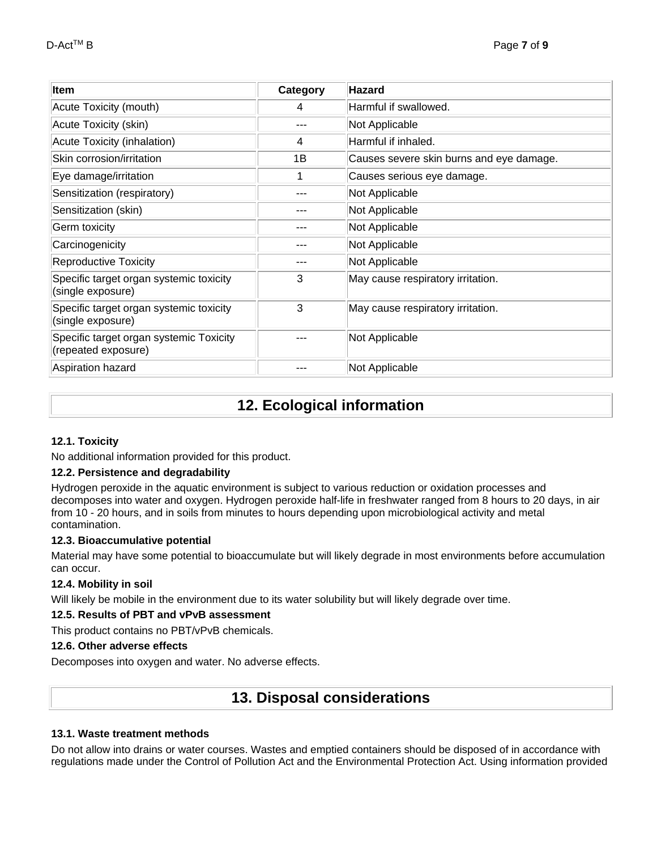| Item                                                           | Category | <b>Hazard</b>                            |
|----------------------------------------------------------------|----------|------------------------------------------|
| Acute Toxicity (mouth)                                         | 4        | Harmful if swallowed.                    |
| Acute Toxicity (skin)                                          |          | Not Applicable                           |
| Acute Toxicity (inhalation)                                    | 4        | Harmful if inhaled.                      |
| Skin corrosion/irritation                                      | 1В       | Causes severe skin burns and eye damage. |
| Eye damage/irritation                                          |          | Causes serious eye damage.               |
| Sensitization (respiratory)                                    | ---      | Not Applicable                           |
| Sensitization (skin)                                           | ---      | Not Applicable                           |
| <b>Germ toxicity</b>                                           | ---      | Not Applicable                           |
| Carcinogenicity                                                |          | Not Applicable                           |
| <b>Reproductive Toxicity</b>                                   |          | Not Applicable                           |
| Specific target organ systemic toxicity<br>(single exposure)   | 3        | May cause respiratory irritation.        |
| Specific target organ systemic toxicity<br>(single exposure)   | 3        | May cause respiratory irritation.        |
| Specific target organ systemic Toxicity<br>(repeated exposure) |          | Not Applicable                           |
| Aspiration hazard                                              |          | Not Applicable                           |

## **12. Ecological information**

## **12.1. Toxicity**

No additional information provided for this product.

### **12.2. Persistence and degradability**

Hydrogen peroxide in the aquatic environment is subject to various reduction or oxidation processes and decomposes into water and oxygen. Hydrogen peroxide half-life in freshwater ranged from 8 hours to 20 days, in air from 10 - 20 hours, and in soils from minutes to hours depending upon microbiological activity and metal contamination.

### **12.3. Bioaccumulative potential**

Material may have some potential to bioaccumulate but will likely degrade in most environments before accumulation can occur.

### **12.4. Mobility in soil**

Will likely be mobile in the environment due to its water solubility but will likely degrade over time.

#### **12.5. Results of PBT and vPvB assessment**

This product contains no PBT/vPvB chemicals.

#### **12.6. Other adverse effects**

Decomposes into oxygen and water. No adverse effects.

## **13. Disposal considerations**

### **13.1. Waste treatment methods**

Do not allow into drains or water courses. Wastes and emptied containers should be disposed of in accordance with regulations made under the Control of Pollution Act and the Environmental Protection Act. Using information provided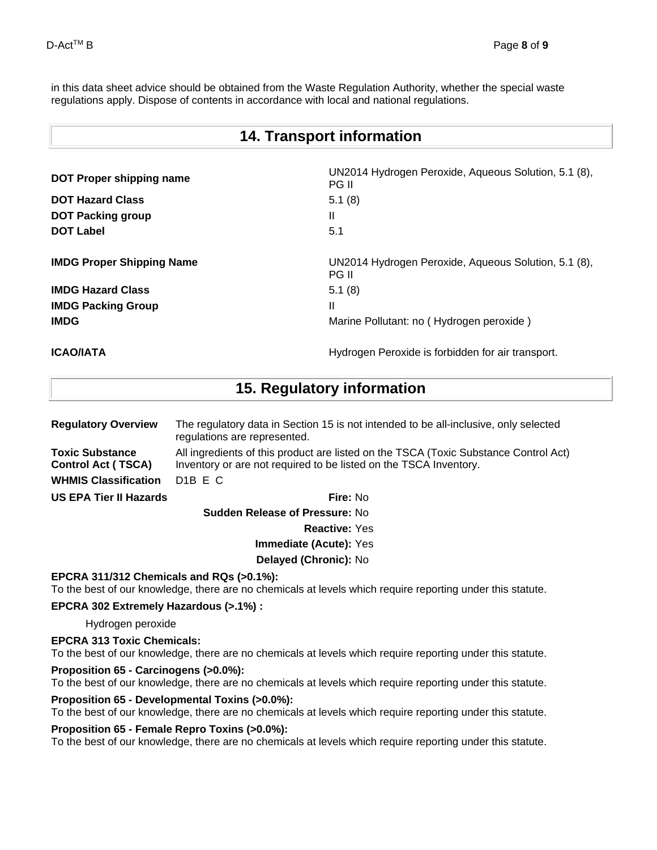in this data sheet advice should be obtained from the Waste Regulation Authority, whether the special waste regulations apply. Dispose of contents in accordance with local and national regulations.

| <b>14. Transport information</b> |                                                                      |  |
|----------------------------------|----------------------------------------------------------------------|--|
| <b>DOT Proper shipping name</b>  | UN2014 Hydrogen Peroxide, Aqueous Solution, 5.1 (8),<br><b>PG II</b> |  |
| <b>DOT Hazard Class</b>          | 5.1(8)                                                               |  |
| <b>DOT Packing group</b>         | Ш                                                                    |  |
| <b>DOT Label</b>                 | 5.1                                                                  |  |
| <b>IMDG Proper Shipping Name</b> | UN2014 Hydrogen Peroxide, Aqueous Solution, 5.1 (8),<br><b>PG II</b> |  |
| <b>IMDG Hazard Class</b>         | 5.1(8)                                                               |  |
| <b>IMDG Packing Group</b>        | Ш                                                                    |  |
| <b>IMDG</b>                      | Marine Pollutant: no (Hydrogen peroxide)                             |  |
|                                  |                                                                      |  |

# **ICAO/IATA ICAO/IATA Hydrogen Peroxide is forbidden for air transport.**

**15. Regulatory information**

| <b>Regulatory Overview</b>                          | The regulatory data in Section 15 is not intended to be all-inclusive, only selected<br>regulations are represented.                                      |  |  |
|-----------------------------------------------------|-----------------------------------------------------------------------------------------------------------------------------------------------------------|--|--|
| <b>Toxic Substance</b><br><b>Control Act (TSCA)</b> | All ingredients of this product are listed on the TSCA (Toxic Substance Control Act)<br>Inventory or are not required to be listed on the TSCA Inventory. |  |  |
| <b>WHMIS Classification</b>                         | D <sub>1</sub> B E C                                                                                                                                      |  |  |
| <b>US EPA Tier II Hazards</b>                       | <b>Fire: No</b>                                                                                                                                           |  |  |
| <b>Cuddon Polonco of Drocourou No.</b>              |                                                                                                                                                           |  |  |

**Sudden Release of Pressure:** No **Reactive:** Yes **Immediate (Acute):** Yes

**Delayed (Chronic):** No

### **EPCRA 311/312 Chemicals and RQs (>0.1%):**

To the best of our knowledge, there are no chemicals at levels which require reporting under this statute.

#### **EPCRA 302 Extremely Hazardous (>.1%) :**

Hydrogen peroxide

#### **EPCRA 313 Toxic Chemicals:**

To the best of our knowledge, there are no chemicals at levels which require reporting under this statute.

#### **Proposition 65 - Carcinogens (>0.0%):**

To the best of our knowledge, there are no chemicals at levels which require reporting under this statute.

#### **Proposition 65 - Developmental Toxins (>0.0%):**

To the best of our knowledge, there are no chemicals at levels which require reporting under this statute.

#### **Proposition 65 - Female Repro Toxins (>0.0%):**

To the best of our knowledge, there are no chemicals at levels which require reporting under this statute.